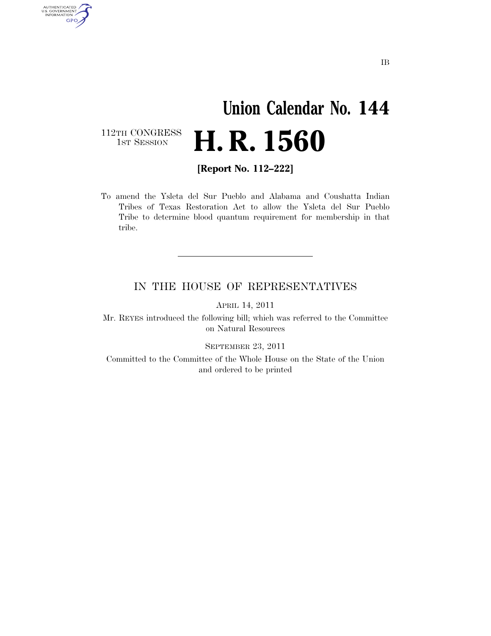## **Union Calendar No. 144 H. R. 1560**

112TH CONGRESS<br>1st Session

AUTHENTICATED<br>U.S. GOVERNMENT<br>INFORMATION GPO

**[Report No. 112–222]** 

To amend the Ysleta del Sur Pueblo and Alabama and Coushatta Indian Tribes of Texas Restoration Act to allow the Ysleta del Sur Pueblo Tribe to determine blood quantum requirement for membership in that tribe.

## IN THE HOUSE OF REPRESENTATIVES

APRIL 14, 2011

Mr. REYES introduced the following bill; which was referred to the Committee on Natural Resources

SEPTEMBER 23, 2011

Committed to the Committee of the Whole House on the State of the Union and ordered to be printed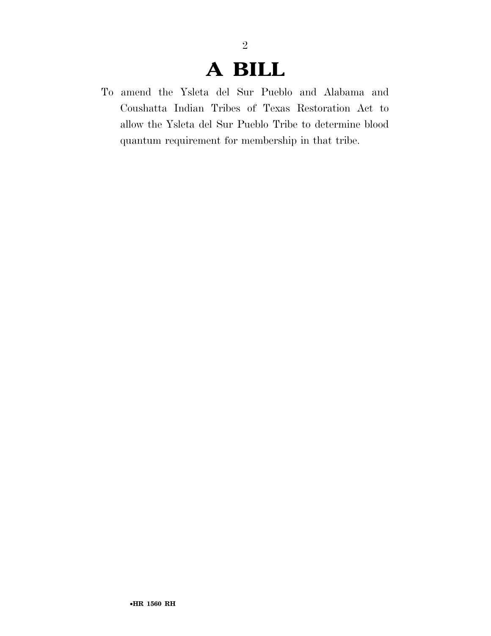## **A BILL**

2

To amend the Ysleta del Sur Pueblo and Alabama and Coushatta Indian Tribes of Texas Restoration Act to allow the Ysleta del Sur Pueblo Tribe to determine blood quantum requirement for membership in that tribe.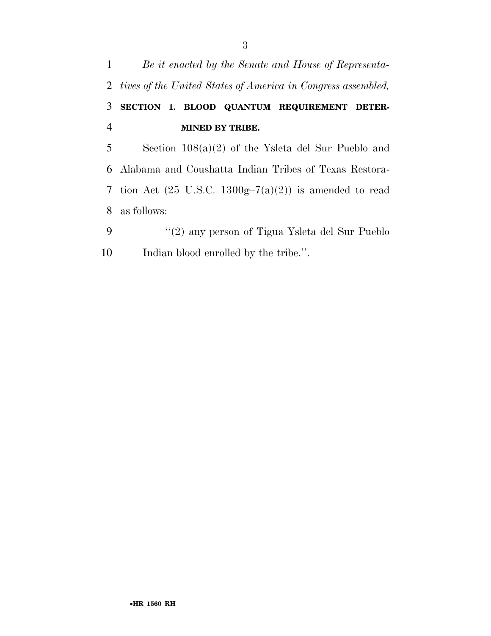

- as follows:
- ''(2) any person of Tigua Ysleta del Sur Pueblo 10 Indian blood enrolled by the tribe.".